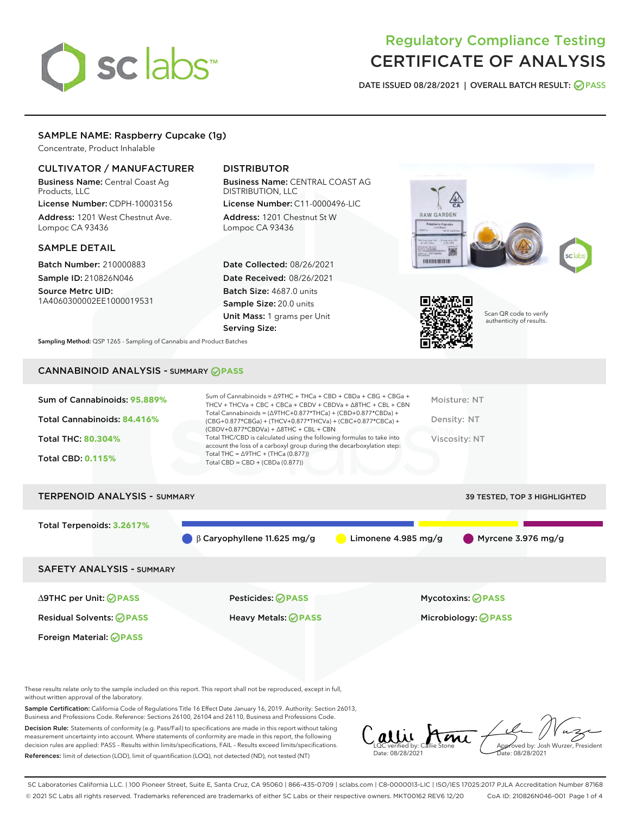# sclabs<sup>\*</sup>

# Regulatory Compliance Testing CERTIFICATE OF ANALYSIS

DATE ISSUED 08/28/2021 | OVERALL BATCH RESULT: @ PASS

# SAMPLE NAME: Raspberry Cupcake (1g)

Concentrate, Product Inhalable

### CULTIVATOR / MANUFACTURER

Business Name: Central Coast Ag Products, LLC

License Number: CDPH-10003156 Address: 1201 West Chestnut Ave. Lompoc CA 93436

#### SAMPLE DETAIL

Batch Number: 210000883 Sample ID: 210826N046 Source Metrc UID:

1A4060300002EE1000019531

# DISTRIBUTOR

Business Name: CENTRAL COAST AG DISTRIBUTION, LLC License Number: C11-0000496-LIC

Address: 1201 Chestnut St W Lompoc CA 93436

Date Collected: 08/26/2021 Date Received: 08/26/2021 Batch Size: 4687.0 units Sample Size: 20.0 units Unit Mass: 1 grams per Unit Serving Size:





Scan QR code to verify authenticity of results.

Sampling Method: QSP 1265 - Sampling of Cannabis and Product Batches

# CANNABINOID ANALYSIS - SUMMARY **PASS**

| Sum of Cannabinoids: 95.889% | Sum of Cannabinoids = Δ9THC + THCa + CBD + CBDa + CBG + CBGa +<br>THCV + THCVa + CBC + CBCa + CBDV + CBDVa + $\Delta$ 8THC + CBL + CBN                                               | Moisture: NT  |
|------------------------------|--------------------------------------------------------------------------------------------------------------------------------------------------------------------------------------|---------------|
| Total Cannabinoids: 84.416%  | Total Cannabinoids = $(\Delta$ 9THC+0.877*THCa) + (CBD+0.877*CBDa) +<br>(CBG+0.877*CBGa) + (THCV+0.877*THCVa) + (CBC+0.877*CBCa) +<br>$(CBDV+0.877*CBDVa) + \Delta 8THC + CBL + CBN$ | Density: NT   |
| <b>Total THC: 80.304%</b>    | Total THC/CBD is calculated using the following formulas to take into<br>account the loss of a carboxyl group during the decarboxylation step:                                       | Viscosity: NT |
| <b>Total CBD: 0.115%</b>     | Total THC = $\triangle$ 9THC + (THCa (0.877))<br>Total CBD = $CBD + (CBDa (0.877))$                                                                                                  |               |
|                              |                                                                                                                                                                                      |               |

# TERPENOID ANALYSIS - SUMMARY 39 TESTED, TOP 3 HIGHLIGHTED Total Terpenoids: **3.2617%**  $\beta$  β Caryophyllene 11.625 mg/g  $\qquad \qquad$  Limonene 4.985 mg/g  $\qquad \qquad$  Myrcene 3.976 mg/g SAFETY ANALYSIS - SUMMARY

Foreign Material: **PASS**

∆9THC per Unit: **PASS** Pesticides: **PASS** Mycotoxins: **PASS**

Residual Solvents: **PASS** Heavy Metals: **PASS** Microbiology: **PASS**

These results relate only to the sample included on this report. This report shall not be reproduced, except in full, without written approval of the laboratory.

Sample Certification: California Code of Regulations Title 16 Effect Date January 16, 2019. Authority: Section 26013, Business and Professions Code. Reference: Sections 26100, 26104 and 26110, Business and Professions Code.

Decision Rule: Statements of conformity (e.g. Pass/Fail) to specifications are made in this report without taking measurement uncertainty into account. Where statements of conformity are made in this report, the following decision rules are applied: PASS – Results within limits/specifications, FAIL – Results exceed limits/specifications. References: limit of detection (LOD), limit of quantification (LOQ), not detected (ND), not tested (NT)

LQC verified by: Callie Stone Date: 08/28/2021 Approved by: Josh Wurzer, President Date: 08/28/2021

SC Laboratories California LLC. | 100 Pioneer Street, Suite E, Santa Cruz, CA 95060 | 866-435-0709 | sclabs.com | C8-0000013-LIC | ISO/IES 17025:2017 PJLA Accreditation Number 87168 © 2021 SC Labs all rights reserved. Trademarks referenced are trademarks of either SC Labs or their respective owners. MKT00162 REV6 12/20 CoA ID: 210826N046-001 Page 1 of 4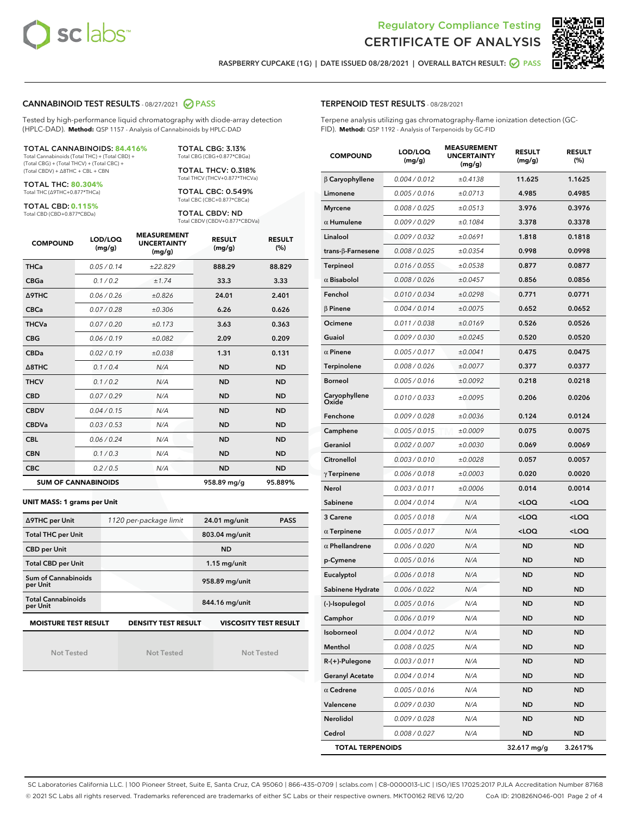



RASPBERRY CUPCAKE (1G) | DATE ISSUED 08/28/2021 | OVERALL BATCH RESULT: @ PASS

#### CANNABINOID TEST RESULTS - 08/27/2021 2 PASS

Tested by high-performance liquid chromatography with diode-array detection (HPLC-DAD). **Method:** QSP 1157 - Analysis of Cannabinoids by HPLC-DAD

#### TOTAL CANNABINOIDS: **84.416%**

Total Cannabinoids (Total THC) + (Total CBD) + (Total CBG) + (Total THCV) + (Total CBC) + (Total CBDV) + ∆8THC + CBL + CBN

TOTAL THC: **80.304%** Total THC (∆9THC+0.877\*THCa)

TOTAL CBD: **0.115%**

Total CBD (CBD+0.877\*CBDa)

TOTAL CBG: 3.13% Total CBG (CBG+0.877\*CBGa)

TOTAL THCV: 0.318% Total THCV (THCV+0.877\*THCVa)

TOTAL CBC: 0.549% Total CBC (CBC+0.877\*CBCa)

TOTAL CBDV: ND Total CBDV (CBDV+0.877\*CBDVa)

| <b>COMPOUND</b> | LOD/LOQ<br>(mg/g)          | <b>MEASUREMENT</b><br><b>UNCERTAINTY</b><br>(mg/g) | <b>RESULT</b><br>(mg/g) | <b>RESULT</b><br>(%) |
|-----------------|----------------------------|----------------------------------------------------|-------------------------|----------------------|
| <b>THCa</b>     | 0.05/0.14                  | ±22.829                                            | 888.29                  | 88.829               |
| <b>CBGa</b>     | 0.1/0.2                    | ±1.74                                              | 33.3                    | 3.33                 |
| <b>A9THC</b>    | 0.06/0.26                  | ±0.826                                             | 24.01                   | 2.401                |
| <b>CBCa</b>     | 0.07/0.28                  | ±0.306                                             | 6.26                    | 0.626                |
| <b>THCVa</b>    | 0.07/0.20                  | ±0.173                                             | 3.63                    | 0.363                |
| <b>CBG</b>      | 0.06/0.19                  | ±0.082                                             | 2.09                    | 0.209                |
| <b>CBDa</b>     | 0.02/0.19                  | ±0.038                                             | 1.31                    | 0.131                |
| A8THC           | 0.1/0.4                    | N/A                                                | <b>ND</b>               | <b>ND</b>            |
| <b>THCV</b>     | 0.1/0.2                    | N/A                                                | <b>ND</b>               | <b>ND</b>            |
| <b>CBD</b>      | 0.07/0.29                  | N/A                                                | <b>ND</b>               | <b>ND</b>            |
| <b>CBDV</b>     | 0.04 / 0.15                | N/A                                                | <b>ND</b>               | <b>ND</b>            |
| <b>CBDVa</b>    | 0.03/0.53                  | N/A                                                | <b>ND</b>               | <b>ND</b>            |
| <b>CBL</b>      | 0.06 / 0.24                | N/A                                                | <b>ND</b>               | <b>ND</b>            |
| <b>CBN</b>      | 0.1/0.3                    | N/A                                                | <b>ND</b>               | <b>ND</b>            |
| <b>CBC</b>      | 0.2 / 0.5                  | N/A                                                | <b>ND</b>               | <b>ND</b>            |
|                 | <b>SUM OF CANNABINOIDS</b> |                                                    | 958.89 mg/g             | 95.889%              |

#### **UNIT MASS: 1 grams per Unit**

| ∆9THC per Unit                                                                            | 1120 per-package limit | 24.01 mg/unit<br><b>PASS</b> |  |  |  |
|-------------------------------------------------------------------------------------------|------------------------|------------------------------|--|--|--|
| <b>Total THC per Unit</b>                                                                 |                        | 803.04 mg/unit               |  |  |  |
| <b>CBD per Unit</b>                                                                       |                        | <b>ND</b>                    |  |  |  |
| <b>Total CBD per Unit</b>                                                                 |                        | $1.15$ mg/unit               |  |  |  |
| Sum of Cannabinoids<br>per Unit                                                           |                        | 958.89 mg/unit               |  |  |  |
| <b>Total Cannabinoids</b><br>per Unit                                                     |                        | 844.16 mg/unit               |  |  |  |
| <b>MOISTURE TEST RESULT</b><br><b>DENSITY TEST RESULT</b><br><b>VISCOSITY TEST RESULT</b> |                        |                              |  |  |  |

Not Tested

Not Tested

Not Tested

#### TERPENOID TEST RESULTS - 08/28/2021

Terpene analysis utilizing gas chromatography-flame ionization detection (GC-FID). **Method:** QSP 1192 - Analysis of Terpenoids by GC-FID

| <b>COMPOUND</b>         | LOD/LOQ<br>(mg/g) | <b>MEASUREMENT</b><br><b>UNCERTAINTY</b><br>(mg/g) | <b>RESULT</b><br>(mg/g)                         | <b>RESULT</b><br>(%) |
|-------------------------|-------------------|----------------------------------------------------|-------------------------------------------------|----------------------|
| $\beta$ Caryophyllene   | 0.004 / 0.012     | ±0.4138                                            | 11.625                                          | 1.1625               |
| Limonene                | 0.005 / 0.016     | ±0.0713                                            | 4.985                                           | 0.4985               |
| <b>Myrcene</b>          | 0.008 / 0.025     | ±0.0513                                            | 3.976                                           | 0.3976               |
| $\alpha$ Humulene       | 0.009 / 0.029     | ±0.1084                                            | 3.378                                           | 0.3378               |
| Linalool                | 0.009 / 0.032     | ±0.0691                                            | 1.818                                           | 0.1818               |
| trans-ß-Farnesene       | 0.008 / 0.025     | ±0.0354                                            | 0.998                                           | 0.0998               |
| <b>Terpineol</b>        | 0.016 / 0.055     | ±0.0538                                            | 0.877                                           | 0.0877               |
| $\alpha$ Bisabolol      | 0.008 / 0.026     | ±0.0457                                            | 0.856                                           | 0.0856               |
| Fenchol                 | 0.010 / 0.034     | ±0.0298                                            | 0.771                                           | 0.0771               |
| $\beta$ Pinene          | 0.004 / 0.014     | ±0.0075                                            | 0.652                                           | 0.0652               |
| Ocimene                 | 0.011 / 0.038     | ±0.0169                                            | 0.526                                           | 0.0526               |
| Guaiol                  | 0.009 / 0.030     | ±0.0245                                            | 0.520                                           | 0.0520               |
| $\alpha$ Pinene         | 0.005 / 0.017     | ±0.0041                                            | 0.475                                           | 0.0475               |
| <b>Terpinolene</b>      | 0.008 / 0.026     | ±0.0077                                            | 0.377                                           | 0.0377               |
| <b>Borneol</b>          | 0.005 / 0.016     | ±0.0092                                            | 0.218                                           | 0.0218               |
| Caryophyllene<br>Oxide  | 0.010 / 0.033     | ±0.0095                                            | 0.206                                           | 0.0206               |
| Fenchone                | 0.009 / 0.028     | ±0.0036                                            | 0.124                                           | 0.0124               |
| Camphene                | 0.005 / 0.015     | ±0.0009                                            | 0.075                                           | 0.0075               |
| Geraniol                | 0.002 / 0.007     | ±0.0030                                            | 0.069                                           | 0.0069               |
| Citronellol             | 0.003 / 0.010     | ±0.0028                                            | 0.057                                           | 0.0057               |
| $\gamma$ Terpinene      | 0.006 / 0.018     | ±0.0003                                            | 0.020                                           | 0.0020               |
| Nerol                   | 0.003 / 0.011     | ±0.0006                                            | 0.014                                           | 0.0014               |
| Sabinene                | 0.004 / 0.014     | N/A                                                | <loq< th=""><th><loq< th=""></loq<></th></loq<> | <loq< th=""></loq<>  |
| 3 Carene                | 0.005 / 0.018     | N/A                                                | <loq< th=""><th><loq< th=""></loq<></th></loq<> | <loq< th=""></loq<>  |
| $\alpha$ Terpinene      | 0.005 / 0.017     | N/A                                                | <loq< th=""><th><loq< th=""></loq<></th></loq<> | <loq< th=""></loq<>  |
| $\alpha$ Phellandrene   | 0.006 / 0.020     | N/A                                                | ND                                              | <b>ND</b>            |
| p-Cymene                | 0.005 / 0.016     | N/A                                                | <b>ND</b>                                       | <b>ND</b>            |
| Eucalyptol              | 0.006 / 0.018     | N/A                                                | ND                                              | <b>ND</b>            |
| Sabinene Hydrate        | 0.006 / 0.022     | N/A                                                | ND                                              | <b>ND</b>            |
| (-)-Isopulegol          | 0.005 / 0.016     | N/A                                                | <b>ND</b>                                       | <b>ND</b>            |
| Camphor                 | 0.006 / 0.019     | N/A                                                | ND                                              | ND                   |
| Isoborneol              | 0.004 / 0.012     | N/A                                                | <b>ND</b>                                       | <b>ND</b>            |
| Menthol                 | 0.008 / 0.025     | N/A                                                | <b>ND</b>                                       | <b>ND</b>            |
| $R-(+)$ -Pulegone       | 0.003 / 0.011     | N/A                                                | ND                                              | <b>ND</b>            |
| <b>Geranyl Acetate</b>  | 0.004 / 0.014     | N/A                                                | ND                                              | ND                   |
| $\alpha$ Cedrene        | 0.005 / 0.016     | N/A                                                | <b>ND</b>                                       | ND                   |
| Valencene               | 0.009 / 0.030     | N/A                                                | <b>ND</b>                                       | <b>ND</b>            |
| Nerolidol               | 0.009 / 0.028     | N/A                                                | ND                                              | ND                   |
| Cedrol                  | 0.008 / 0.027     | N/A                                                | <b>ND</b>                                       | <b>ND</b>            |
| <b>TOTAL TERPENOIDS</b> |                   |                                                    | 32.617 mg/g                                     | 3.2617%              |

SC Laboratories California LLC. | 100 Pioneer Street, Suite E, Santa Cruz, CA 95060 | 866-435-0709 | sclabs.com | C8-0000013-LIC | ISO/IES 17025:2017 PJLA Accreditation Number 87168 © 2021 SC Labs all rights reserved. Trademarks referenced are trademarks of either SC Labs or their respective owners. MKT00162 REV6 12/20 CoA ID: 210826N046-001 Page 2 of 4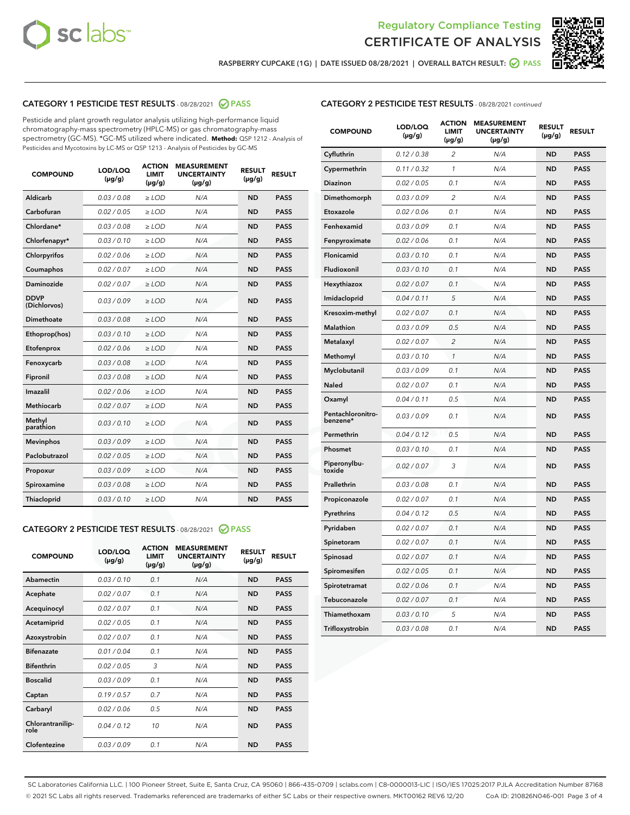



RASPBERRY CUPCAKE (1G) | DATE ISSUED 08/28/2021 | OVERALL BATCH RESULT: @ PASS

# CATEGORY 1 PESTICIDE TEST RESULTS - 08/28/2021 2 PASS

Pesticide and plant growth regulator analysis utilizing high-performance liquid chromatography-mass spectrometry (HPLC-MS) or gas chromatography-mass spectrometry (GC-MS). \*GC-MS utilized where indicated. **Method:** QSP 1212 - Analysis of Pesticides and Mycotoxins by LC-MS or QSP 1213 - Analysis of Pesticides by GC-MS

| <b>COMPOUND</b>             | LOD/LOQ<br>$(\mu g/g)$ | <b>ACTION</b><br><b>LIMIT</b><br>$(\mu g/g)$ | <b>MEASUREMENT</b><br><b>UNCERTAINTY</b><br>$(\mu g/g)$ | <b>RESULT</b><br>$(\mu g/g)$ | <b>RESULT</b> |
|-----------------------------|------------------------|----------------------------------------------|---------------------------------------------------------|------------------------------|---------------|
| Aldicarb                    | 0.03/0.08              | $\ge$ LOD                                    | N/A                                                     | <b>ND</b>                    | <b>PASS</b>   |
| Carbofuran                  | 0.02/0.05              | $>$ LOD                                      | N/A                                                     | <b>ND</b>                    | <b>PASS</b>   |
| Chlordane*                  | 0.03 / 0.08            | $\ge$ LOD                                    | N/A                                                     | <b>ND</b>                    | <b>PASS</b>   |
| Chlorfenapyr*               | 0.03/0.10              | $\ge$ LOD                                    | N/A                                                     | <b>ND</b>                    | <b>PASS</b>   |
| Chlorpyrifos                | 0.02 / 0.06            | $\ge$ LOD                                    | N/A                                                     | <b>ND</b>                    | <b>PASS</b>   |
| Coumaphos                   | 0.02 / 0.07            | $>$ LOD                                      | N/A                                                     | <b>ND</b>                    | <b>PASS</b>   |
| Daminozide                  | 0.02/0.07              | $>$ LOD                                      | N/A                                                     | <b>ND</b>                    | <b>PASS</b>   |
| <b>DDVP</b><br>(Dichlorvos) | 0.03/0.09              | $\ge$ LOD                                    | N/A                                                     | <b>ND</b>                    | <b>PASS</b>   |
| Dimethoate                  | 0.03 / 0.08            | $\ge$ LOD                                    | N/A                                                     | <b>ND</b>                    | <b>PASS</b>   |
| Ethoprop(hos)               | 0.03/0.10              | $>$ LOD                                      | N/A                                                     | <b>ND</b>                    | <b>PASS</b>   |
| Etofenprox                  | 0.02 / 0.06            | $\ge$ LOD                                    | N/A                                                     | <b>ND</b>                    | <b>PASS</b>   |
| Fenoxycarb                  | 0.03/0.08              | $\ge$ LOD                                    | N/A                                                     | <b>ND</b>                    | <b>PASS</b>   |
| Fipronil                    | 0.03/0.08              | $\ge$ LOD                                    | N/A                                                     | <b>ND</b>                    | <b>PASS</b>   |
| Imazalil                    | 0.02 / 0.06            | $\ge$ LOD                                    | N/A                                                     | <b>ND</b>                    | <b>PASS</b>   |
| <b>Methiocarb</b>           | 0.02 / 0.07            | $\ge$ LOD                                    | N/A                                                     | <b>ND</b>                    | <b>PASS</b>   |
| Methyl<br>parathion         | 0.03/0.10              | $\ge$ LOD                                    | N/A                                                     | <b>ND</b>                    | <b>PASS</b>   |
| <b>Mevinphos</b>            | 0.03/0.09              | $>$ LOD                                      | N/A                                                     | <b>ND</b>                    | <b>PASS</b>   |
| Paclobutrazol               | 0.02 / 0.05            | $\ge$ LOD                                    | N/A                                                     | <b>ND</b>                    | <b>PASS</b>   |
| Propoxur                    | 0.03/0.09              | $\ge$ LOD                                    | N/A                                                     | <b>ND</b>                    | <b>PASS</b>   |
| Spiroxamine                 | 0.03/0.08              | $\ge$ LOD                                    | N/A                                                     | <b>ND</b>                    | <b>PASS</b>   |
| Thiacloprid                 | 0.03/0.10              | $\ge$ LOD                                    | N/A                                                     | <b>ND</b>                    | <b>PASS</b>   |

#### CATEGORY 2 PESTICIDE TEST RESULTS - 08/28/2021 @ PASS

| <b>COMPOUND</b>          | LOD/LOQ<br>$(\mu g/g)$ | <b>ACTION</b><br><b>LIMIT</b><br>$(\mu g/g)$ | <b>MEASUREMENT</b><br><b>UNCERTAINTY</b><br>$(\mu g/g)$ | <b>RESULT</b><br>$(\mu g/g)$ | <b>RESULT</b> |
|--------------------------|------------------------|----------------------------------------------|---------------------------------------------------------|------------------------------|---------------|
| Abamectin                | 0.03/0.10              | 0.1                                          | N/A                                                     | <b>ND</b>                    | <b>PASS</b>   |
| Acephate                 | 0.02/0.07              | 0.1                                          | N/A                                                     | <b>ND</b>                    | <b>PASS</b>   |
| Acequinocyl              | 0.02/0.07              | 0.1                                          | N/A                                                     | <b>ND</b>                    | <b>PASS</b>   |
| Acetamiprid              | 0.02/0.05              | 0.1                                          | N/A                                                     | <b>ND</b>                    | <b>PASS</b>   |
| Azoxystrobin             | 0.02/0.07              | 0.1                                          | N/A                                                     | <b>ND</b>                    | <b>PASS</b>   |
| <b>Bifenazate</b>        | 0.01/0.04              | 0.1                                          | N/A                                                     | <b>ND</b>                    | <b>PASS</b>   |
| <b>Bifenthrin</b>        | 0.02 / 0.05            | 3                                            | N/A                                                     | <b>ND</b>                    | <b>PASS</b>   |
| <b>Boscalid</b>          | 0.03/0.09              | 0.1                                          | N/A                                                     | <b>ND</b>                    | <b>PASS</b>   |
| Captan                   | 0.19/0.57              | 0.7                                          | N/A                                                     | <b>ND</b>                    | <b>PASS</b>   |
| Carbaryl                 | 0.02/0.06              | 0.5                                          | N/A                                                     | <b>ND</b>                    | <b>PASS</b>   |
| Chlorantranilip-<br>role | 0.04/0.12              | 10                                           | N/A                                                     | <b>ND</b>                    | <b>PASS</b>   |
| Clofentezine             | 0.03/0.09              | 0.1                                          | N/A                                                     | <b>ND</b>                    | <b>PASS</b>   |

| <b>CATEGORY 2 PESTICIDE TEST RESULTS</b> - 08/28/2021 continued |  |
|-----------------------------------------------------------------|--|
|                                                                 |  |

| <b>COMPOUND</b>               | LOD/LOQ<br>$(\mu g/g)$ | <b>ACTION</b><br>LIMIT<br>(µg/g) | <b>MEASUREMENT</b><br><b>UNCERTAINTY</b><br>(µg/g) | <b>RESULT</b><br>$(\mu g/g)$ | <b>RESULT</b> |
|-------------------------------|------------------------|----------------------------------|----------------------------------------------------|------------------------------|---------------|
| Cyfluthrin                    | 0.12 / 0.38            | $\overline{2}$                   | N/A                                                | <b>ND</b>                    | <b>PASS</b>   |
| Cypermethrin                  | 0.11/0.32              | 1                                | N/A                                                | <b>ND</b>                    | <b>PASS</b>   |
| Diazinon                      | 0.02 / 0.05            | 0.1                              | N/A                                                | <b>ND</b>                    | <b>PASS</b>   |
| Dimethomorph                  | 0.03 / 0.09            | $\overline{2}$                   | N/A                                                | <b>ND</b>                    | <b>PASS</b>   |
| Etoxazole                     | 0.02 / 0.06            | 0.1                              | N/A                                                | <b>ND</b>                    | <b>PASS</b>   |
| Fenhexamid                    | 0.03 / 0.09            | 0.1                              | N/A                                                | <b>ND</b>                    | <b>PASS</b>   |
| Fenpyroximate                 | 0.02 / 0.06            | 0.1                              | N/A                                                | <b>ND</b>                    | <b>PASS</b>   |
| Flonicamid                    | 0.03 / 0.10            | 0.1                              | N/A                                                | <b>ND</b>                    | <b>PASS</b>   |
| Fludioxonil                   | 0.03 / 0.10            | 0.1                              | N/A                                                | <b>ND</b>                    | <b>PASS</b>   |
| Hexythiazox                   | 0.02 / 0.07            | 0.1                              | N/A                                                | <b>ND</b>                    | <b>PASS</b>   |
| Imidacloprid                  | 0.04 / 0.11            | 5                                | N/A                                                | <b>ND</b>                    | <b>PASS</b>   |
| Kresoxim-methyl               | 0.02 / 0.07            | 0.1                              | N/A                                                | <b>ND</b>                    | <b>PASS</b>   |
| Malathion                     | 0.03 / 0.09            | 0.5                              | N/A                                                | <b>ND</b>                    | <b>PASS</b>   |
| Metalaxyl                     | 0.02 / 0.07            | $\overline{c}$                   | N/A                                                | <b>ND</b>                    | <b>PASS</b>   |
| Methomyl                      | 0.03 / 0.10            | 1                                | N/A                                                | <b>ND</b>                    | <b>PASS</b>   |
| Myclobutanil                  | 0.03 / 0.09            | 0.1                              | N/A                                                | <b>ND</b>                    | <b>PASS</b>   |
| Naled                         | 0.02 / 0.07            | 0.1                              | N/A                                                | <b>ND</b>                    | <b>PASS</b>   |
| Oxamyl                        | 0.04 / 0.11            | 0.5                              | N/A                                                | ND                           | <b>PASS</b>   |
| Pentachloronitro-<br>benzene* | 0.03 / 0.09            | 0.1                              | N/A                                                | <b>ND</b>                    | <b>PASS</b>   |
| Permethrin                    | 0.04/0.12              | 0.5                              | N/A                                                | <b>ND</b>                    | <b>PASS</b>   |
| Phosmet                       | 0.03 / 0.10            | 0.1                              | N/A                                                | <b>ND</b>                    | <b>PASS</b>   |
| Piperonylbu-<br>toxide        | 0.02 / 0.07            | 3                                | N/A                                                | <b>ND</b>                    | <b>PASS</b>   |
| Prallethrin                   | 0.03 / 0.08            | 0.1                              | N/A                                                | <b>ND</b>                    | <b>PASS</b>   |
| Propiconazole                 | 0.02 / 0.07            | 0.1                              | N/A                                                | <b>ND</b>                    | <b>PASS</b>   |
| Pyrethrins                    | 0.04 / 0.12            | 0.5                              | N/A                                                | <b>ND</b>                    | <b>PASS</b>   |
| Pyridaben                     | 0.02 / 0.07            | 0.1                              | N/A                                                | <b>ND</b>                    | <b>PASS</b>   |
| Spinetoram                    | 0.02 / 0.07            | 0.1                              | N/A                                                | <b>ND</b>                    | <b>PASS</b>   |
| Spinosad                      | 0.02 / 0.07            | 0.1                              | N/A                                                | <b>ND</b>                    | <b>PASS</b>   |
| Spiromesifen                  | 0.02 / 0.05            | 0.1                              | N/A                                                | ND                           | <b>PASS</b>   |
| Spirotetramat                 | 0.02 / 0.06            | 0.1                              | N/A                                                | <b>ND</b>                    | <b>PASS</b>   |
| Tebuconazole                  | 0.02 / 0.07            | 0.1                              | N/A                                                | <b>ND</b>                    | <b>PASS</b>   |
| Thiamethoxam                  | 0.03 / 0.10            | 5                                | N/A                                                | <b>ND</b>                    | <b>PASS</b>   |
| Trifloxystrobin               | 0.03 / 0.08            | 0.1                              | N/A                                                | <b>ND</b>                    | <b>PASS</b>   |

SC Laboratories California LLC. | 100 Pioneer Street, Suite E, Santa Cruz, CA 95060 | 866-435-0709 | sclabs.com | C8-0000013-LIC | ISO/IES 17025:2017 PJLA Accreditation Number 87168 © 2021 SC Labs all rights reserved. Trademarks referenced are trademarks of either SC Labs or their respective owners. MKT00162 REV6 12/20 CoA ID: 210826N046-001 Page 3 of 4